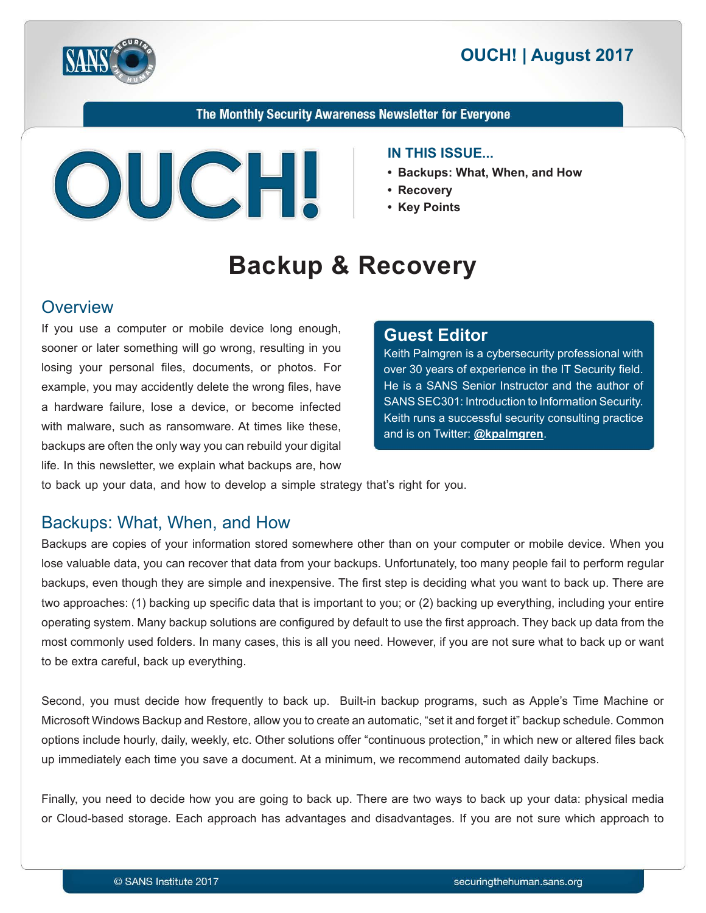



#### The Monthly Security Awareness Newsletter for Everyone



#### **IN THIS ISSUE...**

- **Backups: What, When, and How**
- 
- Key Points

# **Backup & Recovery**

#### **Overview**

If you use a computer or mobile device long enough, sooner or later something will go wrong, resulting in you losing your personal files, documents, or photos. For example, you may accidently delete the wrong files, have a hardware failure, lose a device, or become infected with malware, such as ransomware. At times like these, backups are often the only way you can rebuild your digital life. In this newsletter, we explain what backups are, how

#### **Editor Guest**

Keith Palmgren is a cybersecurity professional with over 30 years of experience in the IT Security field. He is a SANS Senior Instructor and the author of SANS SEC301: Introduction to Information Security. Keith runs a successful security consulting practice and is on Twitter: **@[kpalmgren](https://twitter.com/kpalmgren)**.

to back up your data, and how to develop a simple strategy that's right for you.

### Backups: What, When, and How

Backups are copies of your information stored somewhere other than on your computer or mobile device. When you lose valuable data, you can recover that data from your backups. Unfortunately, too many people fail to perform regular backups, even though they are simple and inexpensive. The first step is deciding what you want to back up. There are two approaches: (1) backing up specific data that is important to you; or (2) backing up everything, including your entire operating system. Many backup solutions are configured by default to use the first approach. They back up data from the most commonly used folders. In many cases, this is all you need. However, if you are not sure what to back up or want to be extra careful, back up everything.

Second, you must decide how frequently to back up. Built-in backup programs, such as Apple's Time Machine or Microsoft Windows Backup and Restore, allow you to create an automatic, "set it and forget it" backup schedule. Common options include hourly, daily, weekly, etc. Other solutions offer "continuous protection," in which new or altered files back up immediately each time you save a document. At a minimum, we recommend automated daily backups.

Finally, you need to decide how you are going to back up. There are two ways to back up your data: physical media or Cloud-based storage. Each approach has advantages and disadvantages. If you are not sure which approach to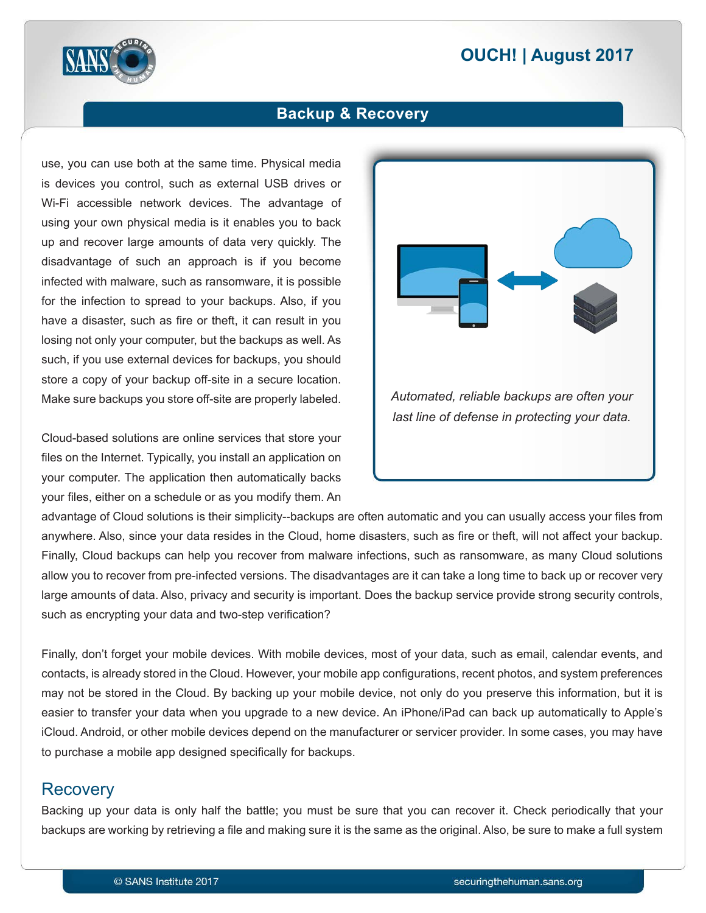# **2017 | OUCH! | August 2017**



#### **Backup & Recovery**

use, you can use both at the same time. Physical media is devices you control, such as external USB drives or Wi-Fi accessible network devices. The advantage of using your own physical media is it enables you to back up and recover large amounts of data very quickly. The disadvantage of such an approach is if you become infected with malware, such as ransomware, it is possible for the infection to spread to your backups. Also, if you have a disaster, such as fire or theft, it can result in you losing not only your computer, but the backups as well. As such, if you use external devices for backups, you should store a copy of your backup off-site in a secure location. Make sure backups you store off-site are properly labeled.

Cloud-based solutions are online services that store your files on the Internet. Typically, you install an application on your computer. The application then automatically backs your files, either on a schedule or as you modify them. An



advantage of Cloud solutions is their simplicity--backups are often automatic and you can usually access your files from anywhere. Also, since your data resides in the Cloud, home disasters, such as fire or theft, will not affect your backup. Finally, Cloud backups can help you recover from malware infections, such as ransomware, as many Cloud solutions allow you to recover from pre-infected versions. The disadvantages are it can take a long time to back up or recover very large amounts of data. Also, privacy and security is important. Does the backup service provide strong security controls, such as encrypting your data and two-step verification?

Finally, don't forget your mobile devices. With mobile devices, most of your data, such as email, calendar events, and contacts, is already stored in the Cloud. However, your mobile app configurations, recent photos, and system preferences may not be stored in the Cloud. By backing up your mobile device, not only do you preserve this information, but it is easier to transfer your data when you upgrade to a new device. An iPhone/iPad can back up automatically to Apple's iCloud. Android, or other mobile devices depend on the manufacturer or servicer provider. In some cases, you may have to purchase a mobile app designed specifically for backups.

#### Recovery

Backing up your data is only half the battle; you must be sure that you can recover it. Check periodically that your backups are working by retrieving a file and making sure it is the same as the original. Also, be sure to make a full system